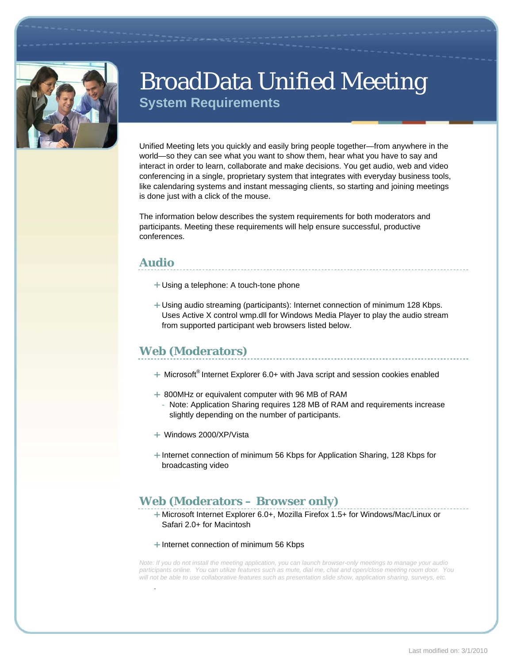

# BroadData Unified Meeting **System Requirements**

Unified Meeting lets you quickly and easily bring people together—from anywhere in the world—so they can see what you want to show them, hear what you have to say and interact in order to learn, collaborate and make decisions. You get audio, web and video conferencing in a single, proprietary system that integrates with everyday business tools, like calendaring systems and instant messaging clients, so starting and joining meetings is done just with a click of the mouse.

The information below describes the system requirements for both moderators and participants. Meeting these requirements will help ensure successful, productive conferences.

### **Audio**

*.* 

- Using a telephone: A touch-tone phone
- Using audio streaming (participants): Internet connection of minimum 128 Kbps. Uses Active X control wmp.dll for Windows Media Player to play the audio stream from supported participant web browsers listed below.

### **Web (Moderators)**

- $+$  Microsoft<sup>®</sup> Internet Explorer 6.0+ with Java script and session cookies enabled
- 800MHz or equivalent computer with 96 MB of RAM
	- Note: Application Sharing requires 128 MB of RAM and requirements increase slightly depending on the number of participants.
- Windows 2000/XP/Vista
- + Internet connection of minimum 56 Kbps for Application Sharing, 128 Kbps for broadcasting video

### **Web (Moderators – Browser only)**

Microsoft Internet Explorer 6.0+, Mozilla Firefox 1.5+ for Windows/Mac/Linux or Safari 2.0+ for Macintosh

#### + Internet connection of minimum 56 Kbps

*Note: If you do not install the meeting application, you can launch browser-only meetings to manage your audio participants online. You can utilize features such as mute, dial me, chat and open/close meeting room door. You*  will not be able to use collaborative features such as presentation slide show, application sharing, surveys, etc.